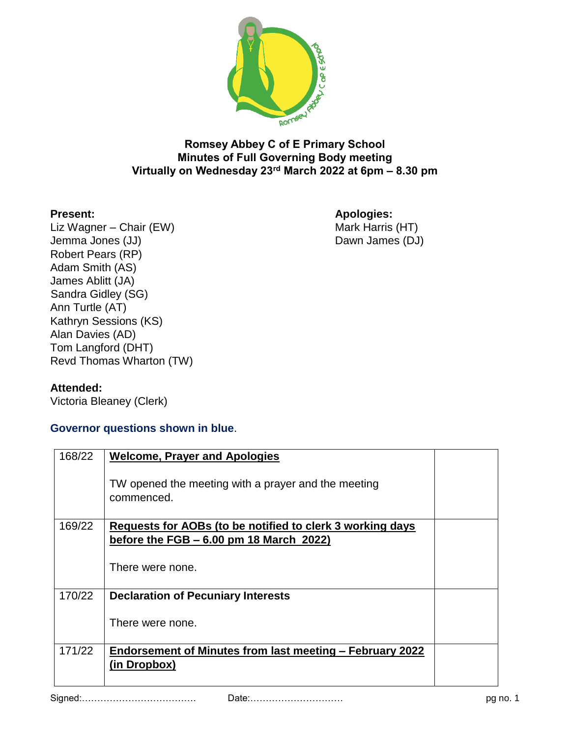

## **Romsey Abbey C of E Primary School Minutes of Full Governing Body meeting Virtually on Wednesday 23rd March 2022 at 6pm – 8.30 pm**

Liz Wagner – Chair (EW) Jemma Jones (JJ) Dawn James (DJ) Robert Pears (RP) Adam Smith (AS) James Ablitt (JA) Sandra Gidley (SG) Ann Turtle (AT) Kathryn Sessions (KS) Alan Davies (AD) Tom Langford (DHT) Revd Thomas Wharton (TW)

**Present: Apologies:**

## **Attended:**

Victoria Bleaney (Clerk)

## **Governor questions shown in blue**.

| 168/22 | <b>Welcome, Prayer and Apologies</b>                              |  |
|--------|-------------------------------------------------------------------|--|
|        | TW opened the meeting with a prayer and the meeting<br>commenced. |  |
| 169/22 | Requests for AOBs (to be notified to clerk 3 working days         |  |
|        | before the FGB $-6.00$ pm 18 March 2022)                          |  |
|        | There were none.                                                  |  |
| 170/22 | <b>Declaration of Pecuniary Interests</b>                         |  |
|        | There were none.                                                  |  |
| 171/22 | Endorsement of Minutes from last meeting – February 2022          |  |
|        | (in Dropbox)                                                      |  |
|        |                                                                   |  |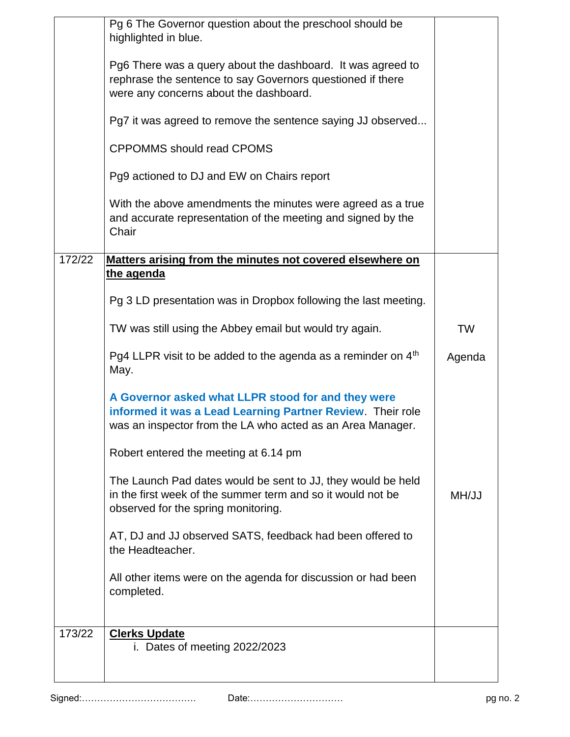|        | Pg 6 The Governor question about the preschool should be<br>highlighted in blue.<br>Pg6 There was a query about the dashboard. It was agreed to<br>rephrase the sentence to say Governors questioned if there<br>were any concerns about the dashboard.<br>Pg7 it was agreed to remove the sentence saying JJ observed<br><b>CPPOMMS should read CPOMS</b><br>Pg9 actioned to DJ and EW on Chairs report<br>With the above amendments the minutes were agreed as a true<br>and accurate representation of the meeting and signed by the<br>Chair |        |
|--------|--------------------------------------------------------------------------------------------------------------------------------------------------------------------------------------------------------------------------------------------------------------------------------------------------------------------------------------------------------------------------------------------------------------------------------------------------------------------------------------------------------------------------------------------------|--------|
| 172/22 | Matters arising from the minutes not covered elsewhere on<br><u>the agenda</u>                                                                                                                                                                                                                                                                                                                                                                                                                                                                   |        |
|        | Pg 3 LD presentation was in Dropbox following the last meeting.                                                                                                                                                                                                                                                                                                                                                                                                                                                                                  |        |
|        | TW was still using the Abbey email but would try again.                                                                                                                                                                                                                                                                                                                                                                                                                                                                                          | TW     |
|        | Pg4 LLPR visit to be added to the agenda as a reminder on 4 <sup>th</sup><br>May.                                                                                                                                                                                                                                                                                                                                                                                                                                                                | Agenda |
|        | A Governor asked what LLPR stood for and they were<br>informed it was a Lead Learning Partner Review. Their role<br>was an inspector from the LA who acted as an Area Manager.                                                                                                                                                                                                                                                                                                                                                                   |        |
|        | Robert entered the meeting at 6.14 pm                                                                                                                                                                                                                                                                                                                                                                                                                                                                                                            |        |
|        | The Launch Pad dates would be sent to JJ, they would be held<br>in the first week of the summer term and so it would not be<br>observed for the spring monitoring.                                                                                                                                                                                                                                                                                                                                                                               | MH/JJ  |
|        | AT, DJ and JJ observed SATS, feedback had been offered to<br>the Headteacher.                                                                                                                                                                                                                                                                                                                                                                                                                                                                    |        |
|        | All other items were on the agenda for discussion or had been<br>completed.                                                                                                                                                                                                                                                                                                                                                                                                                                                                      |        |
| 173/22 | <b>Clerks Update</b><br>i. Dates of meeting 2022/2023                                                                                                                                                                                                                                                                                                                                                                                                                                                                                            |        |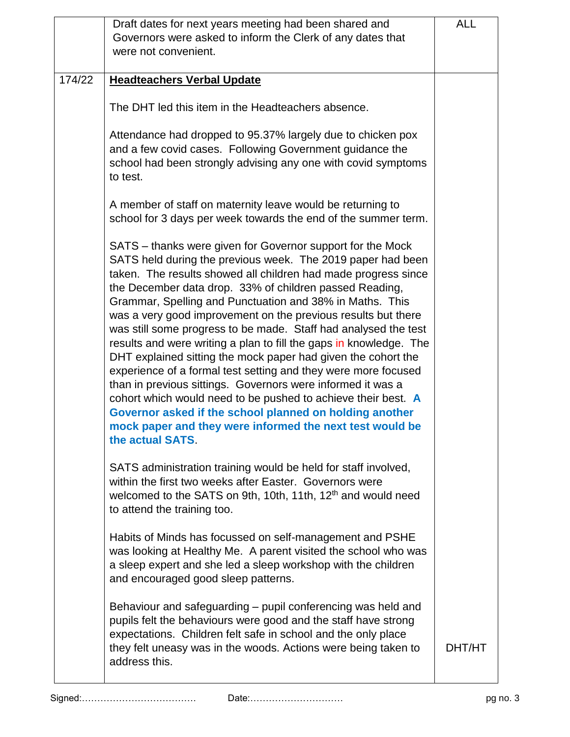|        | Draft dates for next years meeting had been shared and                                                                                                                                                                                                                                                                                                                                                                                                                                                                                                                                                                                                                                                                                                                                                                                                                                                                                     | <b>ALL</b> |
|--------|--------------------------------------------------------------------------------------------------------------------------------------------------------------------------------------------------------------------------------------------------------------------------------------------------------------------------------------------------------------------------------------------------------------------------------------------------------------------------------------------------------------------------------------------------------------------------------------------------------------------------------------------------------------------------------------------------------------------------------------------------------------------------------------------------------------------------------------------------------------------------------------------------------------------------------------------|------------|
|        | Governors were asked to inform the Clerk of any dates that                                                                                                                                                                                                                                                                                                                                                                                                                                                                                                                                                                                                                                                                                                                                                                                                                                                                                 |            |
|        | were not convenient.                                                                                                                                                                                                                                                                                                                                                                                                                                                                                                                                                                                                                                                                                                                                                                                                                                                                                                                       |            |
| 174/22 | <b>Headteachers Verbal Update</b>                                                                                                                                                                                                                                                                                                                                                                                                                                                                                                                                                                                                                                                                                                                                                                                                                                                                                                          |            |
|        |                                                                                                                                                                                                                                                                                                                                                                                                                                                                                                                                                                                                                                                                                                                                                                                                                                                                                                                                            |            |
|        | The DHT led this item in the Headteachers absence.                                                                                                                                                                                                                                                                                                                                                                                                                                                                                                                                                                                                                                                                                                                                                                                                                                                                                         |            |
|        | Attendance had dropped to 95.37% largely due to chicken pox<br>and a few covid cases. Following Government guidance the<br>school had been strongly advising any one with covid symptoms<br>to test.                                                                                                                                                                                                                                                                                                                                                                                                                                                                                                                                                                                                                                                                                                                                       |            |
|        | A member of staff on maternity leave would be returning to<br>school for 3 days per week towards the end of the summer term.                                                                                                                                                                                                                                                                                                                                                                                                                                                                                                                                                                                                                                                                                                                                                                                                               |            |
|        | SATS – thanks were given for Governor support for the Mock<br>SATS held during the previous week. The 2019 paper had been<br>taken. The results showed all children had made progress since<br>the December data drop. 33% of children passed Reading,<br>Grammar, Spelling and Punctuation and 38% in Maths. This<br>was a very good improvement on the previous results but there<br>was still some progress to be made. Staff had analysed the test<br>results and were writing a plan to fill the gaps in knowledge. The<br>DHT explained sitting the mock paper had given the cohort the<br>experience of a formal test setting and they were more focused<br>than in previous sittings. Governors were informed it was a<br>cohort which would need to be pushed to achieve their best. A<br>Governor asked if the school planned on holding another<br>mock paper and they were informed the next test would be<br>the actual SATS. |            |
|        | SATS administration training would be held for staff involved,<br>within the first two weeks after Easter. Governors were<br>welcomed to the SATS on 9th, 10th, 11th, 12 <sup>th</sup> and would need<br>to attend the training too.                                                                                                                                                                                                                                                                                                                                                                                                                                                                                                                                                                                                                                                                                                       |            |
|        | Habits of Minds has focussed on self-management and PSHE<br>was looking at Healthy Me. A parent visited the school who was<br>a sleep expert and she led a sleep workshop with the children<br>and encouraged good sleep patterns.                                                                                                                                                                                                                                                                                                                                                                                                                                                                                                                                                                                                                                                                                                         |            |
|        | Behaviour and safeguarding – pupil conferencing was held and<br>pupils felt the behaviours were good and the staff have strong<br>expectations. Children felt safe in school and the only place<br>they felt uneasy was in the woods. Actions were being taken to<br>address this.                                                                                                                                                                                                                                                                                                                                                                                                                                                                                                                                                                                                                                                         | DHT/HT     |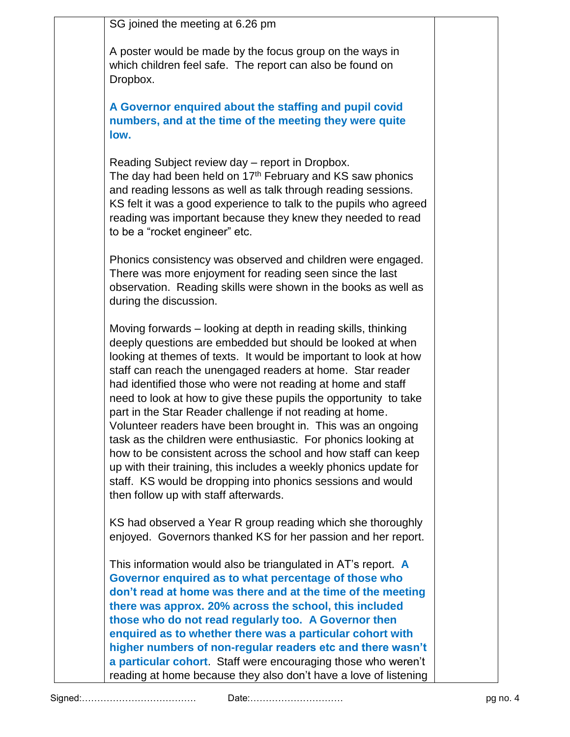SG joined the meeting at 6.26 pm

A poster would be made by the focus group on the ways in which children feel safe. The report can also be found on Dropbox.

**A Governor enquired about the staffing and pupil covid numbers, and at the time of the meeting they were quite low.**

Reading Subject review day – report in Dropbox. The day had been held on  $17<sup>th</sup>$  February and KS saw phonics and reading lessons as well as talk through reading sessions. KS felt it was a good experience to talk to the pupils who agreed reading was important because they knew they needed to read to be a "rocket engineer" etc.

Phonics consistency was observed and children were engaged. There was more enjoyment for reading seen since the last observation. Reading skills were shown in the books as well as during the discussion.

Moving forwards – looking at depth in reading skills, thinking deeply questions are embedded but should be looked at when looking at themes of texts. It would be important to look at how staff can reach the unengaged readers at home. Star reader had identified those who were not reading at home and staff need to look at how to give these pupils the opportunity to take part in the Star Reader challenge if not reading at home. Volunteer readers have been brought in. This was an ongoing task as the children were enthusiastic. For phonics looking at how to be consistent across the school and how staff can keep up with their training, this includes a weekly phonics update for staff. KS would be dropping into phonics sessions and would then follow up with staff afterwards.

KS had observed a Year R group reading which she thoroughly enjoyed. Governors thanked KS for her passion and her report.

This information would also be triangulated in AT's report. **A Governor enquired as to what percentage of those who don't read at home was there and at the time of the meeting there was approx. 20% across the school, this included those who do not read regularly too. A Governor then enquired as to whether there was a particular cohort with higher numbers of non-regular readers etc and there wasn't a particular cohort**. Staff were encouraging those who weren't reading at home because they also don't have a love of listening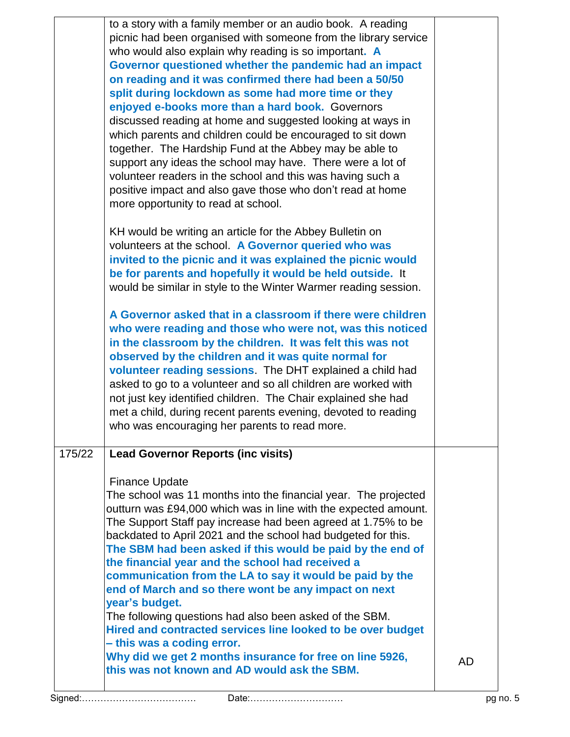|        | to a story with a family member or an audio book. A reading<br>picnic had been organised with someone from the library service<br>who would also explain why reading is so important. A<br>Governor questioned whether the pandemic had an impact<br>on reading and it was confirmed there had been a 50/50<br>split during lockdown as some had more time or they<br>enjoyed e-books more than a hard book. Governors<br>discussed reading at home and suggested looking at ways in<br>which parents and children could be encouraged to sit down<br>together. The Hardship Fund at the Abbey may be able to<br>support any ideas the school may have. There were a lot of<br>volunteer readers in the school and this was having such a<br>positive impact and also gave those who don't read at home<br>more opportunity to read at school.<br>KH would be writing an article for the Abbey Bulletin on<br>volunteers at the school. A Governor queried who was<br>invited to the picnic and it was explained the picnic would<br>be for parents and hopefully it would be held outside. It<br>would be similar in style to the Winter Warmer reading session.<br>A Governor asked that in a classroom if there were children<br>who were reading and those who were not, was this noticed<br>in the classroom by the children. It was felt this was not<br>observed by the children and it was quite normal for<br>volunteer reading sessions. The DHT explained a child had<br>asked to go to a volunteer and so all children are worked with<br>not just key identified children. The Chair explained she had<br>met a child, during recent parents evening, devoted to reading<br>who was encouraging her parents to read more. |    |
|--------|----------------------------------------------------------------------------------------------------------------------------------------------------------------------------------------------------------------------------------------------------------------------------------------------------------------------------------------------------------------------------------------------------------------------------------------------------------------------------------------------------------------------------------------------------------------------------------------------------------------------------------------------------------------------------------------------------------------------------------------------------------------------------------------------------------------------------------------------------------------------------------------------------------------------------------------------------------------------------------------------------------------------------------------------------------------------------------------------------------------------------------------------------------------------------------------------------------------------------------------------------------------------------------------------------------------------------------------------------------------------------------------------------------------------------------------------------------------------------------------------------------------------------------------------------------------------------------------------------------------------------------------------------------------------------------------------------------------------------------------|----|
| 175/22 | <b>Lead Governor Reports (inc visits)</b><br><b>Finance Update</b><br>The school was 11 months into the financial year. The projected<br>outturn was £94,000 which was in line with the expected amount.<br>The Support Staff pay increase had been agreed at 1.75% to be<br>backdated to April 2021 and the school had budgeted for this.<br>The SBM had been asked if this would be paid by the end of<br>the financial year and the school had received a<br>communication from the LA to say it would be paid by the<br>end of March and so there wont be any impact on next<br>year's budget.<br>The following questions had also been asked of the SBM.<br>Hired and contracted services line looked to be over budget<br>- this was a coding error.<br>Why did we get 2 months insurance for free on line 5926,<br>this was not known and AD would ask the SBM.                                                                                                                                                                                                                                                                                                                                                                                                                                                                                                                                                                                                                                                                                                                                                                                                                                                                 | AD |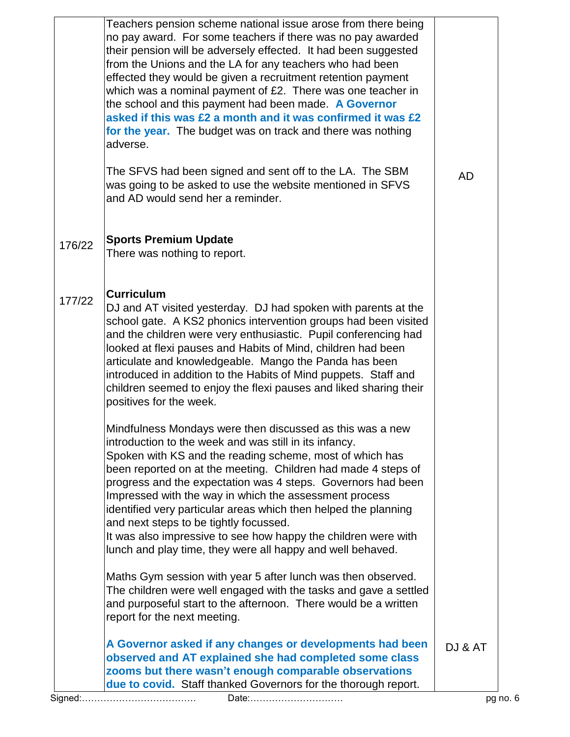|        | Teachers pension scheme national issue arose from there being<br>no pay award. For some teachers if there was no pay awarded<br>their pension will be adversely effected. It had been suggested<br>from the Unions and the LA for any teachers who had been<br>effected they would be given a recruitment retention payment<br>which was a nominal payment of £2. There was one teacher in<br>the school and this payment had been made. A Governor<br>asked if this was £2 a month and it was confirmed it was £2<br>for the year. The budget was on track and there was nothing<br>adverse.                           |           |
|--------|-------------------------------------------------------------------------------------------------------------------------------------------------------------------------------------------------------------------------------------------------------------------------------------------------------------------------------------------------------------------------------------------------------------------------------------------------------------------------------------------------------------------------------------------------------------------------------------------------------------------------|-----------|
|        | The SFVS had been signed and sent off to the LA. The SBM<br>was going to be asked to use the website mentioned in SFVS<br>and AD would send her a reminder.                                                                                                                                                                                                                                                                                                                                                                                                                                                             | <b>AD</b> |
| 176/22 | <b>Sports Premium Update</b><br>There was nothing to report.                                                                                                                                                                                                                                                                                                                                                                                                                                                                                                                                                            |           |
| 177/22 | <b>Curriculum</b><br>DJ and AT visited yesterday. DJ had spoken with parents at the<br>school gate. A KS2 phonics intervention groups had been visited<br>and the children were very enthusiastic. Pupil conferencing had<br>looked at flexi pauses and Habits of Mind, children had been<br>articulate and knowledgeable. Mango the Panda has been<br>introduced in addition to the Habits of Mind puppets. Staff and<br>children seemed to enjoy the flexi pauses and liked sharing their<br>positives for the week.                                                                                                  |           |
|        | Mindfulness Mondays were then discussed as this was a new<br>introduction to the week and was still in its infancy.<br>Spoken with KS and the reading scheme, most of which has<br>been reported on at the meeting. Children had made 4 steps of<br>progress and the expectation was 4 steps. Governors had been<br>Impressed with the way in which the assessment process<br>identified very particular areas which then helped the planning<br>and next steps to be tightly focussed.<br>It was also impressive to see how happy the children were with<br>lunch and play time, they were all happy and well behaved. |           |
|        | Maths Gym session with year 5 after lunch was then observed.<br>The children were well engaged with the tasks and gave a settled<br>and purposeful start to the afternoon. There would be a written<br>report for the next meeting.                                                                                                                                                                                                                                                                                                                                                                                     |           |
|        | A Governor asked if any changes or developments had been<br>observed and AT explained she had completed some class<br>zooms but there wasn't enough comparable observations<br>due to covid. Staff thanked Governors for the thorough report.                                                                                                                                                                                                                                                                                                                                                                           | DJ & AT   |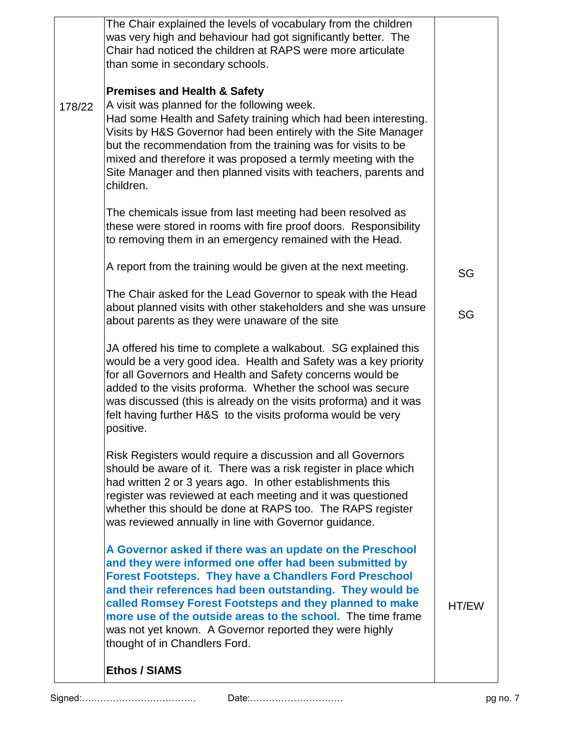|        | <b>Ethos / SIAMS</b>                                                                                                                                                                                                                                                                                                                                                                                                                                                  |       |
|--------|-----------------------------------------------------------------------------------------------------------------------------------------------------------------------------------------------------------------------------------------------------------------------------------------------------------------------------------------------------------------------------------------------------------------------------------------------------------------------|-------|
|        | A Governor asked if there was an update on the Preschool<br>and they were informed one offer had been submitted by<br><b>Forest Footsteps. They have a Chandlers Ford Preschool</b><br>and their references had been outstanding. They would be<br>called Romsey Forest Footsteps and they planned to make<br>more use of the outside areas to the school. The time frame<br>was not yet known. A Governor reported they were highly<br>thought of in Chandlers Ford. | HT/EW |
|        | Risk Registers would require a discussion and all Governors<br>should be aware of it. There was a risk register in place which<br>had written 2 or 3 years ago. In other establishments this<br>register was reviewed at each meeting and it was questioned<br>whether this should be done at RAPS too. The RAPS register<br>was reviewed annually in line with Governor guidance.                                                                                    |       |
|        | JA offered his time to complete a walkabout. SG explained this<br>would be a very good idea. Health and Safety was a key priority<br>for all Governors and Health and Safety concerns would be<br>added to the visits proforma. Whether the school was secure<br>was discussed (this is already on the visits proforma) and it was<br>felt having further H&S to the visits proforma would be very<br>positive.                                                       |       |
|        | The Chair asked for the Lead Governor to speak with the Head<br>about planned visits with other stakeholders and she was unsure<br>about parents as they were unaware of the site                                                                                                                                                                                                                                                                                     | SG    |
|        | A report from the training would be given at the next meeting.                                                                                                                                                                                                                                                                                                                                                                                                        | SG    |
|        | The chemicals issue from last meeting had been resolved as<br>these were stored in rooms with fire proof doors. Responsibility<br>to removing them in an emergency remained with the Head.                                                                                                                                                                                                                                                                            |       |
| 178/22 | <b>Premises and Health &amp; Safety</b><br>A visit was planned for the following week.<br>Had some Health and Safety training which had been interesting.<br>Visits by H&S Governor had been entirely with the Site Manager<br>but the recommendation from the training was for visits to be<br>mixed and therefore it was proposed a termly meeting with the<br>Site Manager and then planned visits with teachers, parents and<br>children.                         |       |
|        | The Chair explained the levels of vocabulary from the children<br>was very high and behaviour had got significantly better. The<br>Chair had noticed the children at RAPS were more articulate<br>than some in secondary schools.                                                                                                                                                                                                                                     |       |
|        |                                                                                                                                                                                                                                                                                                                                                                                                                                                                       |       |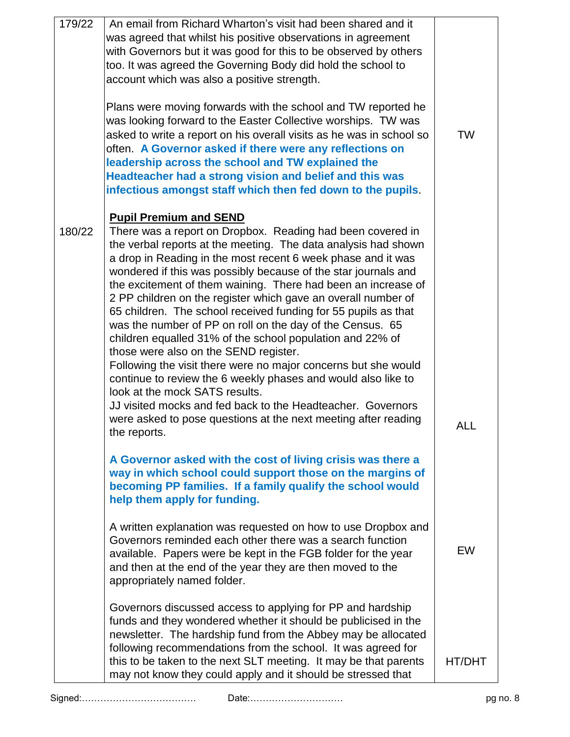| 179/22 | An email from Richard Wharton's visit had been shared and it<br>was agreed that whilst his positive observations in agreement         |            |
|--------|---------------------------------------------------------------------------------------------------------------------------------------|------------|
|        | with Governors but it was good for this to be observed by others                                                                      |            |
|        | too. It was agreed the Governing Body did hold the school to<br>account which was also a positive strength.                           |            |
|        |                                                                                                                                       |            |
|        | Plans were moving forwards with the school and TW reported he                                                                         |            |
|        | was looking forward to the Easter Collective worships. TW was<br>asked to write a report on his overall visits as he was in school so | <b>TW</b>  |
|        | often. A Governor asked if there were any reflections on                                                                              |            |
|        | leadership across the school and TW explained the                                                                                     |            |
|        | Headteacher had a strong vision and belief and this was                                                                               |            |
|        | infectious amongst staff which then fed down to the pupils.                                                                           |            |
|        | <b>Pupil Premium and SEND</b>                                                                                                         |            |
| 180/22 | There was a report on Dropbox. Reading had been covered in                                                                            |            |
|        | the verbal reports at the meeting. The data analysis had shown                                                                        |            |
|        | a drop in Reading in the most recent 6 week phase and it was<br>wondered if this was possibly because of the star journals and        |            |
|        | the excitement of them waining. There had been an increase of                                                                         |            |
|        | 2 PP children on the register which gave an overall number of                                                                         |            |
|        | 65 children. The school received funding for 55 pupils as that<br>was the number of PP on roll on the day of the Census. 65           |            |
|        | children equalled 31% of the school population and 22% of                                                                             |            |
|        | those were also on the SEND register.                                                                                                 |            |
|        | Following the visit there were no major concerns but she would<br>continue to review the 6 weekly phases and would also like to       |            |
|        | look at the mock SATS results.                                                                                                        |            |
|        | JJ visited mocks and fed back to the Headteacher. Governors                                                                           |            |
|        | were asked to pose questions at the next meeting after reading                                                                        | <b>ALL</b> |
|        | the reports.                                                                                                                          |            |
|        | A Governor asked with the cost of living crisis was there a                                                                           |            |
|        | way in which school could support those on the margins of                                                                             |            |
|        | becoming PP families. If a family qualify the school would<br>help them apply for funding.                                            |            |
|        |                                                                                                                                       |            |
|        | A written explanation was requested on how to use Dropbox and                                                                         |            |
|        | Governors reminded each other there was a search function<br>available. Papers were be kept in the FGB folder for the year            | EW         |
|        | and then at the end of the year they are then moved to the                                                                            |            |
|        | appropriately named folder.                                                                                                           |            |
|        | Governors discussed access to applying for PP and hardship                                                                            |            |
|        | funds and they wondered whether it should be publicised in the                                                                        |            |
|        | newsletter. The hardship fund from the Abbey may be allocated                                                                         |            |
|        | following recommendations from the school. It was agreed for                                                                          | HT/DHT     |
|        | this to be taken to the next SLT meeting. It may be that parents<br>may not know they could apply and it should be stressed that      |            |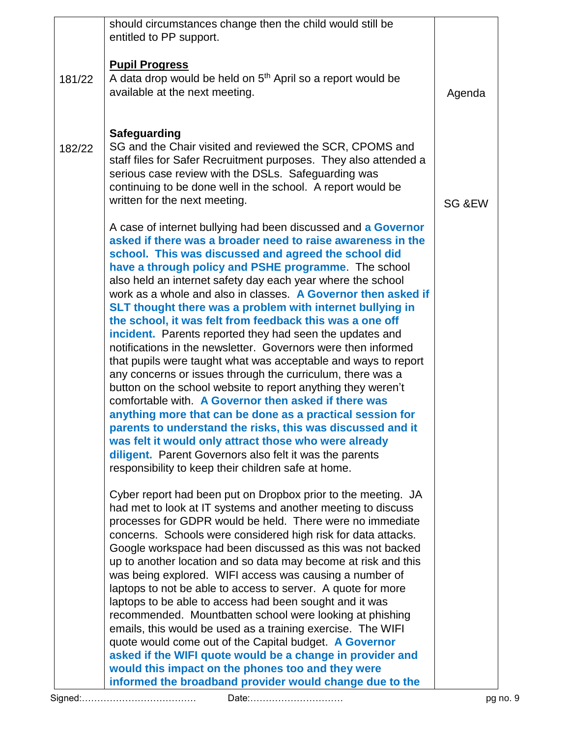|        | should circumstances change then the child would still be                                                                                                                                                                                                                                                                                                                                                                                                                                                                                                                                                                                                                                                                                                                                                                                                                                                                                                                                                                                                                                                                                                                                        |                   |
|--------|--------------------------------------------------------------------------------------------------------------------------------------------------------------------------------------------------------------------------------------------------------------------------------------------------------------------------------------------------------------------------------------------------------------------------------------------------------------------------------------------------------------------------------------------------------------------------------------------------------------------------------------------------------------------------------------------------------------------------------------------------------------------------------------------------------------------------------------------------------------------------------------------------------------------------------------------------------------------------------------------------------------------------------------------------------------------------------------------------------------------------------------------------------------------------------------------------|-------------------|
|        | entitled to PP support.                                                                                                                                                                                                                                                                                                                                                                                                                                                                                                                                                                                                                                                                                                                                                                                                                                                                                                                                                                                                                                                                                                                                                                          |                   |
| 181/22 | <b>Pupil Progress</b><br>A data drop would be held on 5 <sup>th</sup> April so a report would be<br>available at the next meeting.                                                                                                                                                                                                                                                                                                                                                                                                                                                                                                                                                                                                                                                                                                                                                                                                                                                                                                                                                                                                                                                               | Agenda            |
| 182/22 | <b>Safeguarding</b><br>SG and the Chair visited and reviewed the SCR, CPOMS and<br>staff files for Safer Recruitment purposes. They also attended a<br>serious case review with the DSLs. Safeguarding was<br>continuing to be done well in the school. A report would be<br>written for the next meeting.                                                                                                                                                                                                                                                                                                                                                                                                                                                                                                                                                                                                                                                                                                                                                                                                                                                                                       | <b>SG &amp;EW</b> |
|        | A case of internet bullying had been discussed and a Governor<br>asked if there was a broader need to raise awareness in the<br>school. This was discussed and agreed the school did<br>have a through policy and PSHE programme. The school<br>also held an internet safety day each year where the school<br>work as a whole and also in classes. A Governor then asked if<br>SLT thought there was a problem with internet bullying in<br>the school, it was felt from feedback this was a one off<br>incident. Parents reported they had seen the updates and<br>notifications in the newsletter. Governors were then informed<br>that pupils were taught what was acceptable and ways to report<br>any concerns or issues through the curriculum, there was a<br>button on the school website to report anything they weren't<br>comfortable with. A Governor then asked if there was<br>anything more that can be done as a practical session for<br>parents to understand the risks, this was discussed and it<br>was felt it would only attract those who were already<br>diligent. Parent Governors also felt it was the parents<br>responsibility to keep their children safe at home. |                   |
|        | Cyber report had been put on Dropbox prior to the meeting. JA<br>had met to look at IT systems and another meeting to discuss<br>processes for GDPR would be held. There were no immediate<br>concerns. Schools were considered high risk for data attacks.<br>Google workspace had been discussed as this was not backed<br>up to another location and so data may become at risk and this<br>was being explored. WIFI access was causing a number of<br>laptops to not be able to access to server. A quote for more<br>laptops to be able to access had been sought and it was<br>recommended. Mountbatten school were looking at phishing<br>emails, this would be used as a training exercise. The WIFI<br>quote would come out of the Capital budget. A Governor<br>asked if the WIFI quote would be a change in provider and                                                                                                                                                                                                                                                                                                                                                              |                   |
|        | would this impact on the phones too and they were<br>informed the broadband provider would change due to the                                                                                                                                                                                                                                                                                                                                                                                                                                                                                                                                                                                                                                                                                                                                                                                                                                                                                                                                                                                                                                                                                     |                   |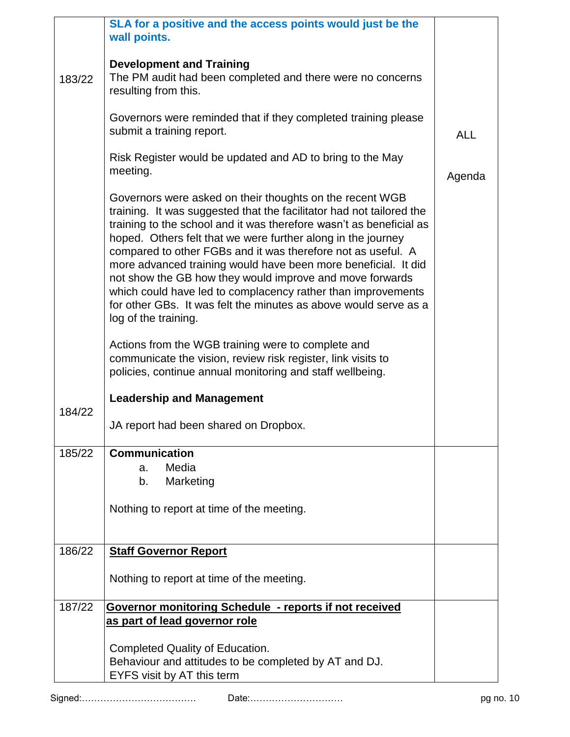|        | SLA for a positive and the access points would just be the<br>wall points.                                                                                                                                                                                                                                                                                                                                                                                                                                                                                                                                                                                                              |            |
|--------|-----------------------------------------------------------------------------------------------------------------------------------------------------------------------------------------------------------------------------------------------------------------------------------------------------------------------------------------------------------------------------------------------------------------------------------------------------------------------------------------------------------------------------------------------------------------------------------------------------------------------------------------------------------------------------------------|------------|
| 183/22 | <b>Development and Training</b><br>The PM audit had been completed and there were no concerns<br>resulting from this.                                                                                                                                                                                                                                                                                                                                                                                                                                                                                                                                                                   |            |
|        | Governors were reminded that if they completed training please<br>submit a training report.                                                                                                                                                                                                                                                                                                                                                                                                                                                                                                                                                                                             | <b>ALL</b> |
|        | Risk Register would be updated and AD to bring to the May<br>meeting.                                                                                                                                                                                                                                                                                                                                                                                                                                                                                                                                                                                                                   | Agenda     |
|        | Governors were asked on their thoughts on the recent WGB<br>training. It was suggested that the facilitator had not tailored the<br>training to the school and it was therefore wasn't as beneficial as<br>hoped. Others felt that we were further along in the journey<br>compared to other FGBs and it was therefore not as useful. A<br>more advanced training would have been more beneficial. It did<br>not show the GB how they would improve and move forwards<br>which could have led to complacency rather than improvements<br>for other GBs. It was felt the minutes as above would serve as a<br>log of the training.<br>Actions from the WGB training were to complete and |            |
|        | communicate the vision, review risk register, link visits to<br>policies, continue annual monitoring and staff wellbeing.                                                                                                                                                                                                                                                                                                                                                                                                                                                                                                                                                               |            |
| 184/22 | <b>Leadership and Management</b>                                                                                                                                                                                                                                                                                                                                                                                                                                                                                                                                                                                                                                                        |            |
|        | JA report had been shared on Dropbox.                                                                                                                                                                                                                                                                                                                                                                                                                                                                                                                                                                                                                                                   |            |
| 185/22 | <b>Communication</b><br>Media<br>a.                                                                                                                                                                                                                                                                                                                                                                                                                                                                                                                                                                                                                                                     |            |
|        | Marketing<br>b.                                                                                                                                                                                                                                                                                                                                                                                                                                                                                                                                                                                                                                                                         |            |
|        | Nothing to report at time of the meeting.                                                                                                                                                                                                                                                                                                                                                                                                                                                                                                                                                                                                                                               |            |
| 186/22 | <b>Staff Governor Report</b>                                                                                                                                                                                                                                                                                                                                                                                                                                                                                                                                                                                                                                                            |            |
|        | Nothing to report at time of the meeting.                                                                                                                                                                                                                                                                                                                                                                                                                                                                                                                                                                                                                                               |            |
| 187/22 | <b>Governor monitoring Schedule - reports if not received</b><br>as part of lead governor role                                                                                                                                                                                                                                                                                                                                                                                                                                                                                                                                                                                          |            |
|        | Completed Quality of Education.<br>Behaviour and attitudes to be completed by AT and DJ.<br>EYFS visit by AT this term                                                                                                                                                                                                                                                                                                                                                                                                                                                                                                                                                                  |            |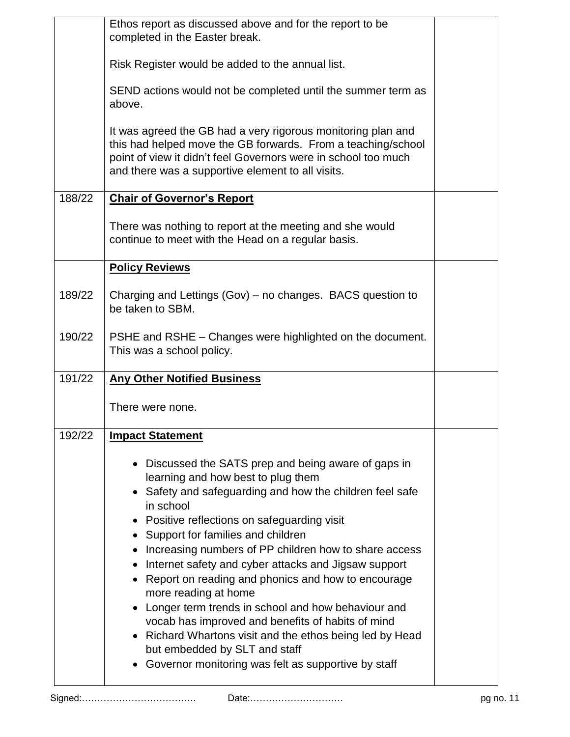|        | Ethos report as discussed above and for the report to be<br>completed in the Easter break.                                                                                                                                                          |  |
|--------|-----------------------------------------------------------------------------------------------------------------------------------------------------------------------------------------------------------------------------------------------------|--|
|        | Risk Register would be added to the annual list.                                                                                                                                                                                                    |  |
|        | SEND actions would not be completed until the summer term as<br>above.                                                                                                                                                                              |  |
|        | It was agreed the GB had a very rigorous monitoring plan and<br>this had helped move the GB forwards. From a teaching/school<br>point of view it didn't feel Governors were in school too much<br>and there was a supportive element to all visits. |  |
| 188/22 | <b>Chair of Governor's Report</b>                                                                                                                                                                                                                   |  |
|        | There was nothing to report at the meeting and she would<br>continue to meet with the Head on a regular basis.                                                                                                                                      |  |
|        | <b>Policy Reviews</b>                                                                                                                                                                                                                               |  |
| 189/22 | Charging and Lettings (Gov) – no changes. BACS question to<br>be taken to SBM.                                                                                                                                                                      |  |
| 190/22 | PSHE and RSHE – Changes were highlighted on the document.<br>This was a school policy.                                                                                                                                                              |  |
| 191/22 | <b>Any Other Notified Business</b>                                                                                                                                                                                                                  |  |
|        | There were none.                                                                                                                                                                                                                                    |  |
| 192/22 | <b>Impact Statement</b>                                                                                                                                                                                                                             |  |
|        | • Discussed the SATS prep and being aware of gaps in                                                                                                                                                                                                |  |
|        | learning and how best to plug them<br>• Safety and safeguarding and how the children feel safe                                                                                                                                                      |  |
|        | in school<br>Positive reflections on safeguarding visit                                                                                                                                                                                             |  |
|        | Support for families and children<br>$\bullet$<br>Increasing numbers of PP children how to share access                                                                                                                                             |  |
|        | Internet safety and cyber attacks and Jigsaw support<br>$\bullet$                                                                                                                                                                                   |  |
|        | Report on reading and phonics and how to encourage<br>more reading at home                                                                                                                                                                          |  |
|        | Longer term trends in school and how behaviour and<br>vocab has improved and benefits of habits of mind                                                                                                                                             |  |
|        | • Richard Whartons visit and the ethos being led by Head<br>but embedded by SLT and staff                                                                                                                                                           |  |
|        | Governor monitoring was felt as supportive by staff                                                                                                                                                                                                 |  |